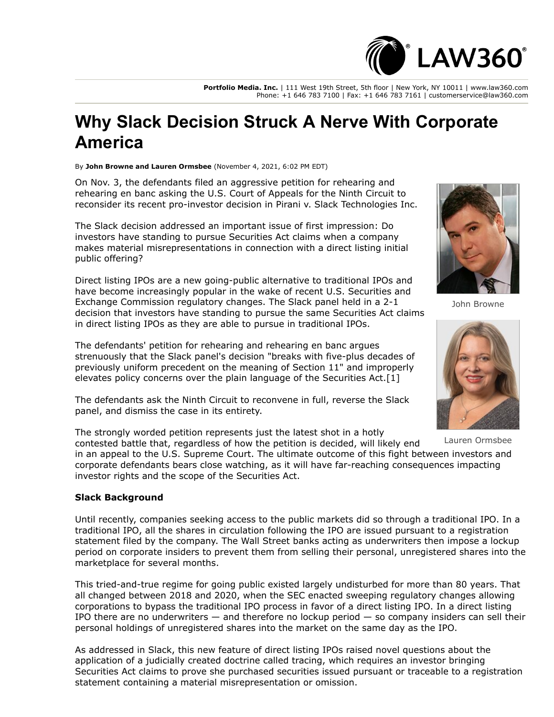

**Portfolio Media. Inc.** | 111 West 19th Street, 5th floor | New York, NY 10011 | www.law360.com Phone: +1 646 783 7100 | Fax: +1 646 783 7161 | customerservice@law360.com

# **Why Slack Decision Struck A Nerve With Corporate America**

By **John Browne and Lauren Ormsbee** (November 4, 2021, 6:02 PM EDT)

On Nov. 3, the defendants filed an aggressive petition for rehearing and rehearing en banc asking the [U.S. Court of Appeals for the Ninth Circuit](https://www.law360.com/agencies/u-s-court-of-appeals-for-the-ninth-circuit) to reconsider its recent pro-investor decision in Pirani v. Slack Technologies Inc.

The Slack decision addressed an important issue of first impression: Do investors have standing to pursue Securities Act claims when a company makes material misrepresentations in connection with a direct listing initial public offering?

Direct listing IPOs are a new going-public alternative to traditional IPOs and [have become increasingly popular in the wake of recent U.S. Securities and](https://www.law360.com/agencies/u-s-securities-and-exchange-commission) Exchange Commission regulatory changes. The Slack panel held in a 2-1 decision that investors have standing to pursue the same Securities Act claims in direct listing IPOs as they are able to pursue in traditional IPOs.

The defendants' petition for rehearing and rehearing en banc argues strenuously that the Slack panel's decision "breaks with five-plus decades of previously uniform precedent on the meaning of Section 11" and improperly elevates policy concerns over the plain language of the Securities Act.[1]

The defendants ask the Ninth Circuit to reconvene in full, reverse the Slack panel, and dismiss the case in its entirety.

The strongly worded petition represents just the latest shot in a hotly

contested battle that, regardless of how the petition is decided, will likely end in an appeal to the [U.S. Supreme Court](https://www.law360.com/agencies/u-s-supreme-court). The ultimate outcome of this fight between investors and corporate defendants bears close watching, as it will have far-reaching consequences impacting investor rights and the scope of the Securities Act.

#### **Slack Background**

Until recently, companies seeking access to the public markets did so through a traditional IPO. In a traditional IPO, all the shares in circulation following the IPO are issued pursuant to a registration statement filed by the company. The Wall Street banks acting as underwriters then impose a lockup period on corporate insiders to prevent them from selling their personal, unregistered shares into the marketplace for several months.

This tried-and-true regime for going public existed largely undisturbed for more than 80 years. That all changed between 2018 and 2020, when the SEC enacted sweeping regulatory changes allowing corporations to bypass the traditional IPO process in favor of a direct listing IPO. In a direct listing IPO there are no underwriters — and therefore no lockup period — so company insiders can sell their personal holdings of unregistered shares into the market on the same day as the IPO.

As addressed in Slack, this new feature of direct listing IPOs raised novel questions about the application of a judicially created doctrine called tracing, which requires an investor bringing Securities Act claims to prove she purchased securities issued pursuant or traceable to a registration statement containing a material misrepresentation or omission.



John Browne



Lauren Ormsbee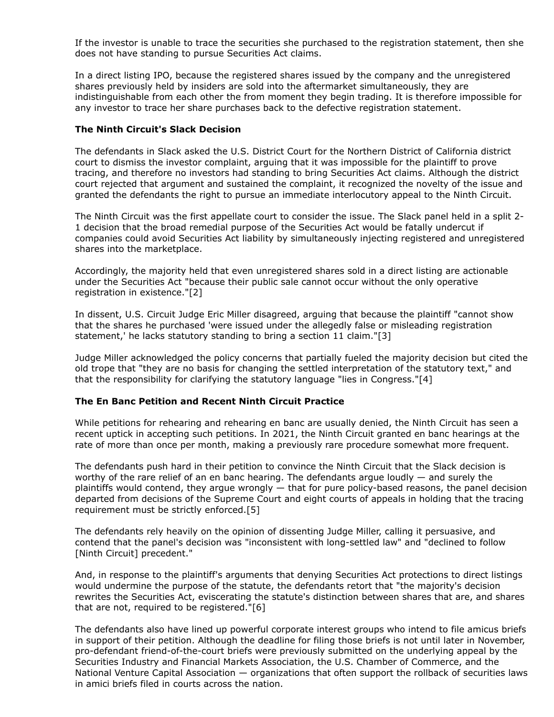If the investor is unable to trace the securities she purchased to the registration statement, then she does not have standing to pursue Securities Act claims.

In a direct listing IPO, because the registered shares issued by the company and the unregistered shares previously held by insiders are sold into the aftermarket simultaneously, they are indistinguishable from each other the from moment they begin trading. It is therefore impossible for any investor to trace her share purchases back to the defective registration statement.

### **The Ninth Circuit's Slack Decision**

The defendants in Slack asked the [U.S. District Court for the Northern District of California](https://www.law360.com/agencies/u-s-district-court-for-the-northern-district-of-california) district court to dismiss the investor complaint, arguing that it was impossible for the plaintiff to prove tracing, and therefore no investors had standing to bring Securities Act claims. Although the district court rejected that argument and sustained the complaint, it recognized the novelty of the issue and granted the defendants the right to pursue an immediate interlocutory appeal to the Ninth Circuit.

The Ninth Circuit was the first appellate court to consider the issue. The Slack panel held in a split 2- 1 decision that the broad remedial purpose of the Securities Act would be fatally undercut if companies could avoid Securities Act liability by simultaneously injecting registered and unregistered shares into the marketplace.

Accordingly, the majority held that even unregistered shares sold in a direct listing are actionable under the Securities Act "because their public sale cannot occur without the only operative registration in existence."[2]

In dissent, U.S. Circuit Judge Eric Miller disagreed, arguing that because the plaintiff "cannot show that the shares he purchased 'were issued under the allegedly false or misleading registration statement,' he lacks statutory standing to bring a section 11 claim."[3]

Judge Miller acknowledged the policy concerns that partially fueled the majority decision but cited the old trope that "they are no basis for changing the settled interpretation of the statutory text," and that the responsibility for clarifying the statutory language "lies in Congress."[4]

## **The En Banc Petition and Recent Ninth Circuit Practice**

While petitions for rehearing and rehearing en banc are usually denied, the Ninth Circuit has seen a recent uptick in accepting such petitions. In 2021, the Ninth Circuit granted en banc hearings at the rate of more than once per month, making a previously rare procedure somewhat more frequent.

The defendants push hard in their petition to convince the Ninth Circuit that the Slack decision is worthy of the rare relief of an en banc hearing. The defendants argue loudly — and surely the plaintiffs would contend, they argue wrongly — that for pure policy-based reasons, the panel decision departed from decisions of the Supreme Court and eight courts of appeals in holding that the tracing requirement must be strictly enforced.[5]

The defendants rely heavily on the opinion of dissenting Judge Miller, calling it persuasive, and contend that the panel's decision was "inconsistent with long-settled law" and "declined to follow [Ninth Circuit] precedent."

And, in response to the plaintiff's arguments that denying Securities Act protections to direct listings would undermine the purpose of the statute, the defendants retort that "the majority's decision rewrites the Securities Act, eviscerating the statute's distinction between shares that are, and shares that are not, required to be registered."[6]

The defendants also have lined up powerful corporate interest groups who intend to file amicus briefs in support of their petition. Although the deadline for filing those briefs is not until later in November, pro-defendant friend-of-the-court briefs were previously submitted on the underlying appeal by the [Securities Industry and Financial Markets Association,](https://www.law360.com/companies/sifma) the [U.S. Chamber of Commerce,](https://www.law360.com/companies/u-s-chamber-of-commerce) and the National Venture Capital Association — organizations that often support the rollback of securities laws in amici briefs filed in courts across the nation.